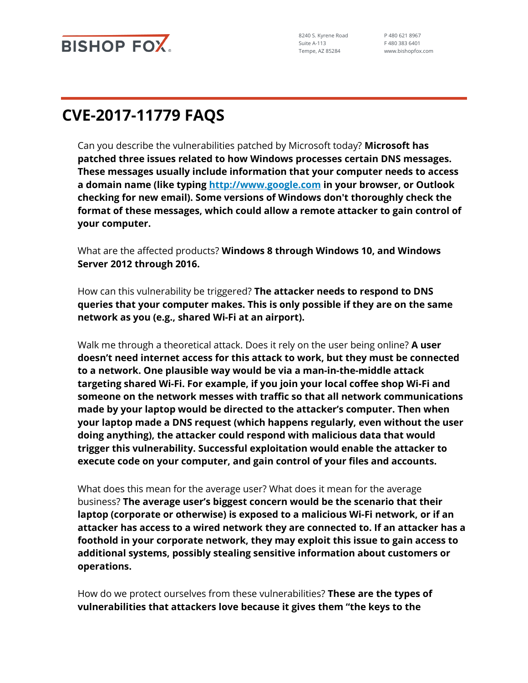

8240 S. Kyrene Road Suite A-113 Tempe, AZ 85284

P 480 621 8967 F 480 383 6401 www.bishopfox.com

## **CVE-2017-11779 FAQS**

Can you describe the vulnerabilities patched by Microsoft today? **Microsoft has patched three issues related to how Windows processes certain DNS messages. These messages usually include information that your computer needs to access a domain name (like typing [http://www.google.com](http://www.google.com/) in your browser, or Outlook checking for new email). Some versions of Windows don't thoroughly check the format of these messages, which could allow a remote attacker to gain control of your computer.**

What are the affected products? **Windows 8 through Windows 10, and Windows Server 2012 through 2016.**

How can this vulnerability be triggered? **The attacker needs to respond to DNS queries that your computer makes. This is only possible if they are on the same network as you (e.g., shared Wi-Fi at an airport).**

Walk me through a theoretical attack. Does it rely on the user being online? **A user doesn't need internet access for this attack to work, but they must be connected to a network. One plausible way would be via a man-in-the-middle attack targeting shared Wi-Fi. For example, if you join your local coffee shop Wi-Fi and someone on the network messes with traffic so that all network communications made by your laptop would be directed to the attacker's computer. Then when your laptop made a DNS request (which happens regularly, even without the user doing anything), the attacker could respond with malicious data that would trigger this vulnerability. Successful exploitation would enable the attacker to execute code on your computer, and gain control of your files and accounts.**

What does this mean for the average user? What does it mean for the average business? **The average user's biggest concern would be the scenario that their laptop (corporate or otherwise) is exposed to a malicious Wi-Fi network, or if an attacker has access to a wired network they are connected to. If an attacker has a foothold in your corporate network, they may exploit this issue to gain access to additional systems, possibly stealing sensitive information about customers or operations.** 

How do we protect ourselves from these vulnerabilities? **These are the types of vulnerabilities that attackers love because it gives them "the keys to the**